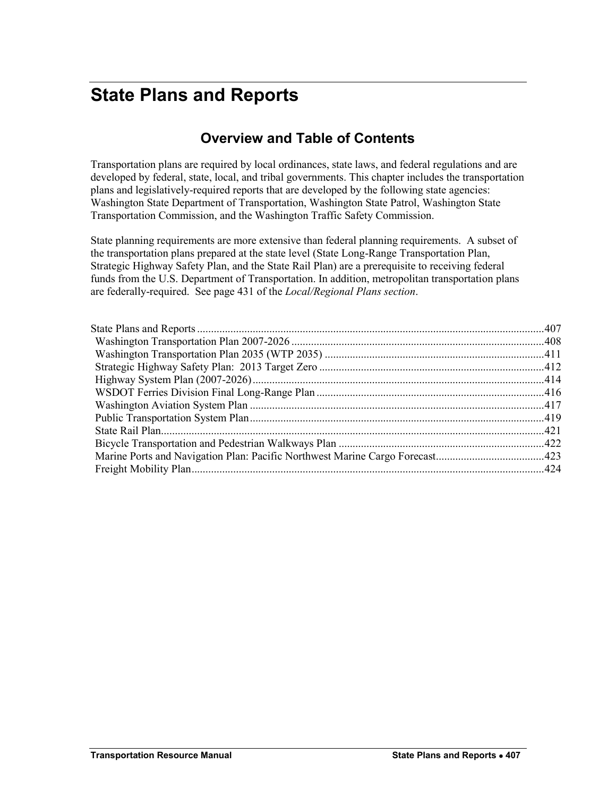# <span id="page-0-0"></span>**State Plans and Reports**

## **Overview and Table of Contents**

Transportation plans are required by local ordinances, state laws, and federal regulations and are developed by federal, state, local, and tribal governments. This chapter includes the transportation plans and legislatively-required reports that are developed by the following state agencies: Washington State Department of Transportation, Washington State Patrol, Washington State Transportation Commission, and the Washington Traffic Safety Commission.

State planning requirements are more extensive than federal planning requirements. A subset of the transportation plans prepared at the state level (State Long-Range Transportation Plan, Strategic Highway Safety Plan, and the State Rail Plan) are a prerequisite to receiving federal funds from the U.S. Department of Transportation. In addition, metropolitan transportation plans are federally-required. See page 431 of the *Local/Regional Plans section*.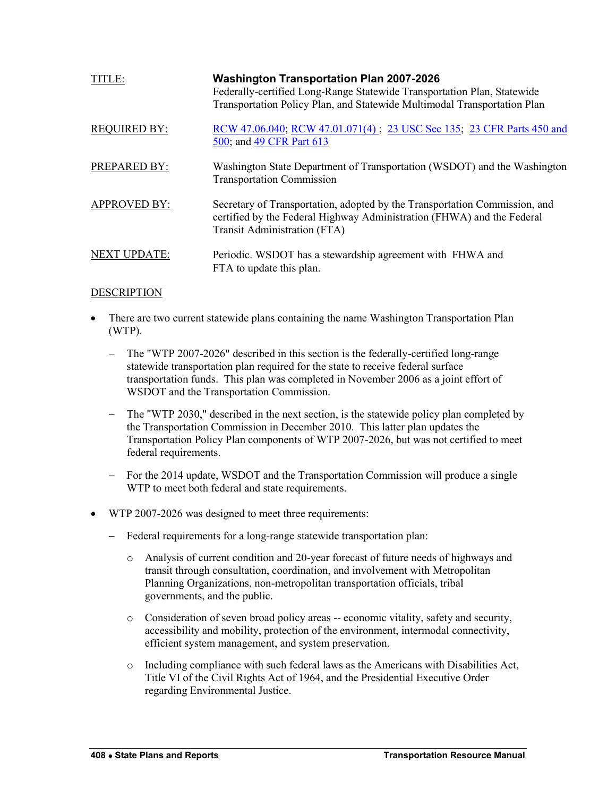<span id="page-1-0"></span>

| TITLE:              | <b>Washington Transportation Plan 2007-2026</b><br>Federally-certified Long-Range Statewide Transportation Plan, Statewide<br>Transportation Policy Plan, and Statewide Multimodal Transportation Plan |
|---------------------|--------------------------------------------------------------------------------------------------------------------------------------------------------------------------------------------------------|
| <b>REQUIRED BY:</b> | RCW 47.06.040; RCW 47.01.071(4); 23 USC Sec 135; 23 CFR Parts 450 and<br>500; and 49 CFR Part 613                                                                                                      |
| <b>PREPARED BY:</b> | Washington State Department of Transportation (WSDOT) and the Washington<br><b>Transportation Commission</b>                                                                                           |
| <b>APPROVED BY:</b> | Secretary of Transportation, adopted by the Transportation Commission, and<br>certified by the Federal Highway Administration (FHWA) and the Federal<br>Transit Administration (FTA)                   |
| <b>NEXT UPDATE:</b> | Periodic. WSDOT has a stewardship agreement with FHWA and<br>FTA to update this plan.                                                                                                                  |

- There are two current statewide plans containing the name Washington Transportation Plan (WTP).
	- The "WTP 2007-2026" described in this section is the federally-certified long-range statewide transportation plan required for the state to receive federal surface transportation funds. This plan was completed in November 2006 as a joint effort of WSDOT and the Transportation Commission.
	- The "WTP 2030," described in the next section, is the statewide policy plan completed by the Transportation Commission in December 2010. This latter plan updates the Transportation Policy Plan components of WTP 2007-2026, but was not certified to meet federal requirements.
	- For the 2014 update, WSDOT and the Transportation Commission will produce a single WTP to meet both federal and state requirements.
- WTP 2007-2026 was designed to meet three requirements:
	- Federal requirements for a long-range statewide transportation plan:
		- o Analysis of current condition and 20-year forecast of future needs of highways and transit through consultation, coordination, and involvement with Metropolitan Planning Organizations, non-metropolitan transportation officials, tribal governments, and the public.
		- o Consideration of seven broad policy areas -- economic vitality, safety and security, accessibility and mobility, protection of the environment, intermodal connectivity, efficient system management, and system preservation.
		- $\circ$  Including compliance with such federal laws as the Americans with Disabilities Act, Title VI of the Civil Rights Act of 1964, and the Presidential Executive Order regarding Environmental Justice.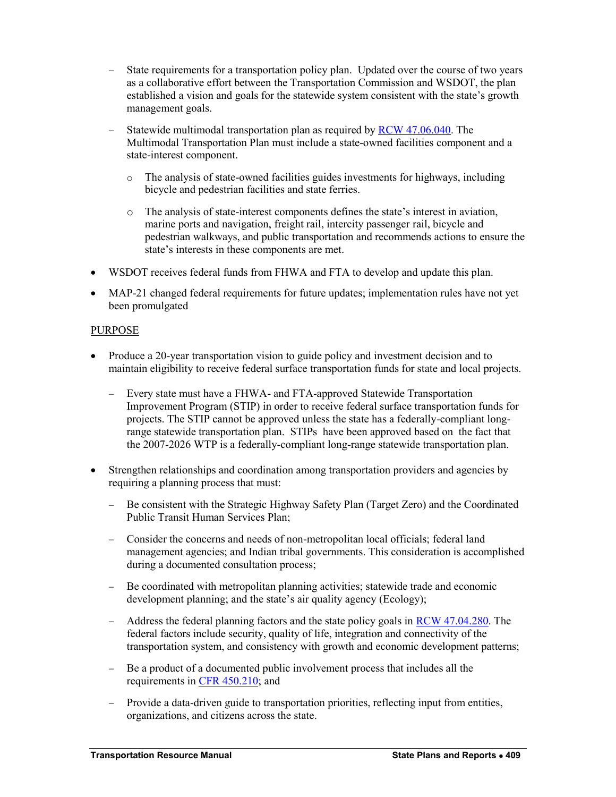- State requirements for a transportation policy plan. Updated over the course of two years as a collaborative effort between the Transportation Commission and WSDOT, the plan established a vision and goals for the statewide system consistent with the state's growth management goals.
- Statewide multimodal transportation plan as required by [RCW 47.06.040.](http://apps.leg.wa.gov/rcw/default.aspx?cite=47.06.040) The Multimodal Transportation Plan must include a state-owned facilities component and a state-interest component.
	- o The analysis of state-owned facilities guides investments for highways, including bicycle and pedestrian facilities and state ferries.
	- o The analysis of state-interest components defines the state's interest in aviation, marine ports and navigation, freight rail, intercity passenger rail, bicycle and pedestrian walkways, and public transportation and recommends actions to ensure the state's interests in these components are met.
- WSDOT receives federal funds from FHWA and FTA to develop and update this plan.
- MAP-21 changed federal requirements for future updates; implementation rules have not yet been promulgated

## PURPOSE

- Produce a 20-year transportation vision to guide policy and investment decision and to maintain eligibility to receive federal surface transportation funds for state and local projects.
	- Every state must have a FHWA- and FTA-approved Statewide Transportation Improvement Program (STIP) in order to receive federal surface transportation funds for projects. The STIP cannot be approved unless the state has a federally-compliant longrange statewide transportation plan. STIPs have been approved based on the fact that the 2007-2026 WTP is a federally-compliant long-range statewide transportation plan.
- Strengthen relationships and coordination among transportation providers and agencies by requiring a planning process that must:
	- Be consistent with the Strategic Highway Safety Plan (Target Zero) and the Coordinated Public Transit Human Services Plan;
	- Consider the concerns and needs of non-metropolitan local officials; federal land management agencies; and Indian tribal governments. This consideration is accomplished during a documented consultation process;
	- Be coordinated with metropolitan planning activities; statewide trade and economic development planning; and the state's air quality agency (Ecology);
	- $-$  Address the federal planning factors and the state policy goals in [RCW 47.04.280.](http://apps.leg.wa.gov/rcw/default.aspx?cite=47.04.280) The federal factors include security, quality of life, integration and connectivity of the transportation system, and consistency with growth and economic development patterns;
	- Be a product of a documented public involvement process that includes all the requirements in [CFR 450.210;](http://www.gpo.gov/fdsys/pkg/CFR-2002-title23-vol1/pdf/CFR-2002-title23-vol1-sec450-210.pdf) and
	- Provide a data-driven guide to transportation priorities, reflecting input from entities, organizations, and citizens across the state.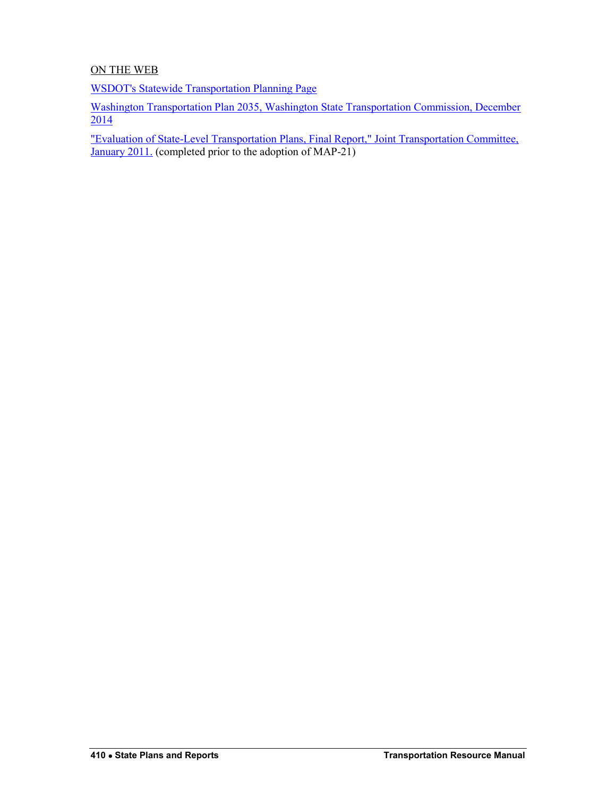## ON THE WEB

[WSDOT's Statewide Transportation Planning Page](http://www.wsdot.wa.gov/planning/)

[Washington Transportation Plan 2035, Washington State Transportation Commission, December](http://wtp2035.com/)  [2014](http://wtp2035.com/)

["Evaluation of State-Level Transportation Plans, Final Report," Joint Transportation Committee,](http://leg.wa.gov/JTC/Documents/Studies/Planning%20Study/Final_PlanningStudy_011211.pdf)  [January 2011.](http://leg.wa.gov/JTC/Documents/Studies/Planning%20Study/Final_PlanningStudy_011211.pdf) (completed prior to the adoption of MAP-21)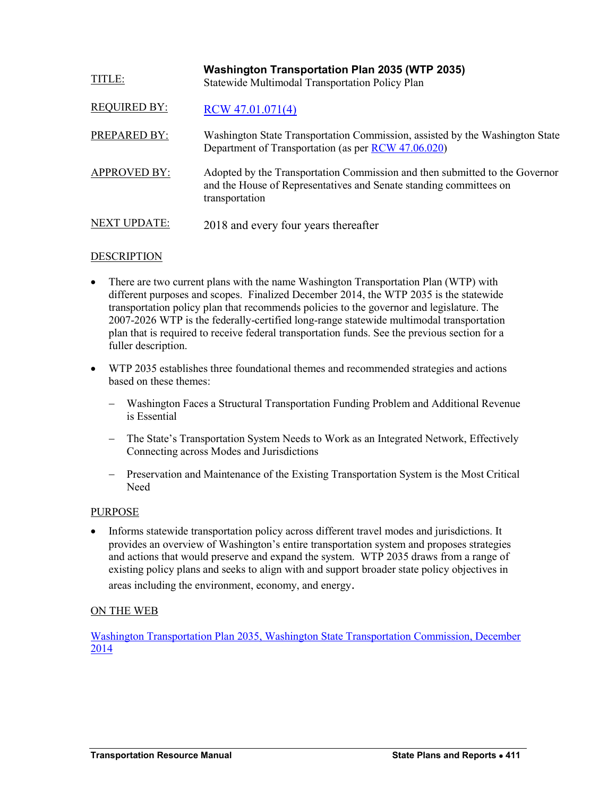<span id="page-4-0"></span>

| TITLE:              | <b>Washington Transportation Plan 2035 (WTP 2035)</b><br>Statewide Multimodal Transportation Policy Plan                                                            |
|---------------------|---------------------------------------------------------------------------------------------------------------------------------------------------------------------|
| <b>REQUIRED BY:</b> | $RCW$ 47.01.071(4)                                                                                                                                                  |
| PREPARED BY:        | Washington State Transportation Commission, assisted by the Washington State<br>Department of Transportation (as per RCW 47.06.020)                                 |
| <b>APPROVED BY:</b> | Adopted by the Transportation Commission and then submitted to the Governor<br>and the House of Representatives and Senate standing committees on<br>transportation |
| <b>NEXT UPDATE:</b> | 2018 and every four years thereafter                                                                                                                                |

- There are two current plans with the name Washington Transportation Plan (WTP) with different purposes and scopes. Finalized December 2014, the WTP 2035 is the statewide transportation policy plan that recommends policies to the governor and legislature. The 2007-2026 WTP is the federally-certified long-range statewide multimodal transportation plan that is required to receive federal transportation funds. See the previous section for a fuller description.
- WTP 2035 establishes three foundational themes and recommended strategies and actions based on these themes:
	- Washington Faces a Structural Transportation Funding Problem and Additional Revenue is Essential
	- The State's Transportation System Needs to Work as an Integrated Network, Effectively Connecting across Modes and Jurisdictions
	- Preservation and Maintenance of the Existing Transportation System is the Most Critical Need

## PURPOSE

 Informs statewide transportation policy across different travel modes and jurisdictions. It provides an overview of Washington's entire transportation system and proposes strategies and actions that would preserve and expand the system. WTP 2035 draws from a range of existing policy plans and seeks to align with and support broader state policy objectives in areas including the environment, economy, and energy.

## ON THE WEB

[Washington Transportation Plan 2035, Washington State Transportation Commission, December](http://wtp2035.com/)  [2014](http://wtp2035.com/)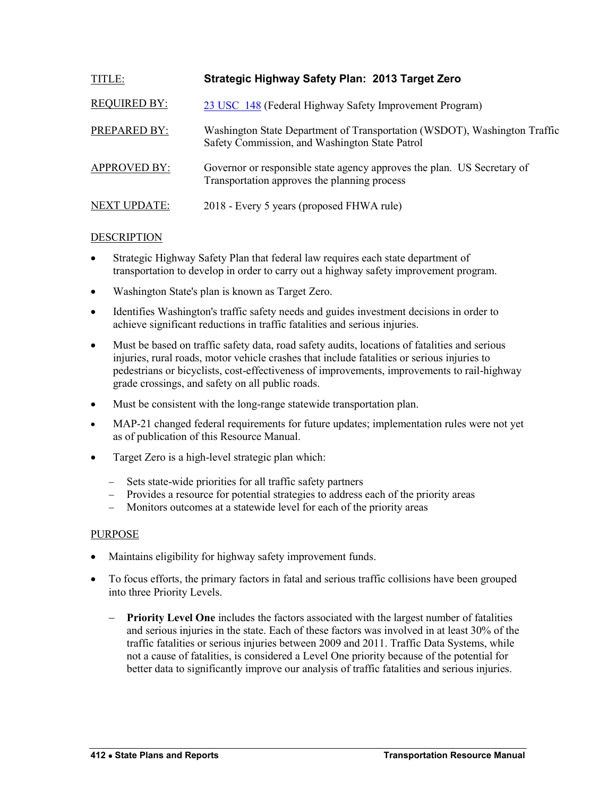<span id="page-5-0"></span>

| <b>TITLE:</b>       | Strategic Highway Safety Plan: 2013 Target Zero                                                                             |
|---------------------|-----------------------------------------------------------------------------------------------------------------------------|
| <b>REQUIRED BY:</b> | 23 USC 148 (Federal Highway Safety Improvement Program)                                                                     |
| PREPARED BY:        | Washington State Department of Transportation (WSDOT), Washington Traffic<br>Safety Commission, and Washington State Patrol |
| <b>APPROVED BY:</b> | Governor or responsible state agency approves the plan. US Secretary of<br>Transportation approves the planning process     |
| <b>NEXT UPDATE:</b> | 2018 - Every 5 years (proposed FHWA rule)                                                                                   |

- Strategic Highway Safety Plan that federal law requires each state department of transportation to develop in order to carry out a highway safety improvement program.
- Washington State's plan is known as Target Zero.
- Identifies Washington's traffic safety needs and guides investment decisions in order to achieve significant reductions in traffic fatalities and serious injuries.
- Must be based on traffic safety data, road safety audits, locations of fatalities and serious injuries, rural roads, motor vehicle crashes that include fatalities or serious injuries to pedestrians or bicyclists, cost-effectiveness of improvements, improvements to rail-highway grade crossings, and safety on all public roads.
- Must be consistent with the long-range statewide transportation plan.
- MAP-21 changed federal requirements for future updates; implementation rules were not yet as of publication of this Resource Manual.
- Target Zero is a high-level strategic plan which:
	- Sets state-wide priorities for all traffic safety partners
	- Provides a resource for potential strategies to address each of the priority areas
	- Monitors outcomes at a statewide level for each of the priority areas

#### PURPOSE

- Maintains eligibility for highway safety improvement funds.
- To focus efforts, the primary factors in fatal and serious traffic collisions have been grouped into three Priority Levels.
	- **Priority Level One** includes the factors associated with the largest number of fatalities and serious injuries in the state. Each of these factors was involved in at least 30% of the traffic fatalities or serious injuries between 2009 and 2011. Traffic Data Systems, while not a cause of fatalities, is considered a Level One priority because of the potential for better data to significantly improve our analysis of traffic fatalities and serious injuries.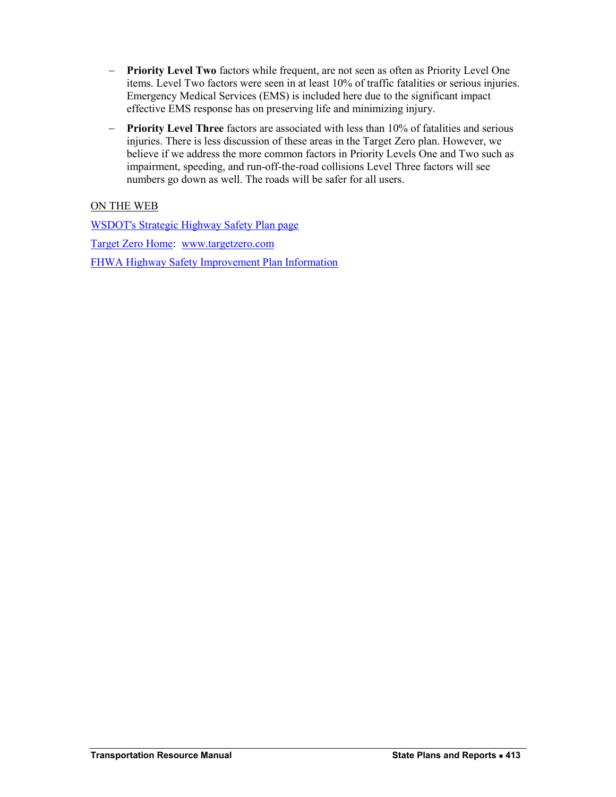- **Priority Level Two** factors while frequent, are not seen as often as Priority Level One items. Level Two factors were seen in at least 10% of traffic fatalities or serious injuries. Emergency Medical Services (EMS) is included here due to the significant impact effective EMS response has on preserving life and minimizing injury.
- **Priority Level Three** factors are associated with less than 10% of fatalities and serious injuries. There is less discussion of these areas in the Target Zero plan. However, we believe if we address the more common factors in Priority Levels One and Two such as impairment, speeding, and run-off-the-road collisions Level Three factors will see numbers go down as well. The roads will be safer for all users.

## ON THE WEB

[WSDOT's Strategic Highway Safety Plan page](http://wsdot.wa.gov/planning/SHSP.htm) [Target Zero Home:](http://www.targetzero.com/Default.htm) [www.targetzero.com](http://www.targetzero.com/) [FHWA Highway Safety Improvement Plan Information](http://www.safety.fhwa.dot.gov/hsip/shsp)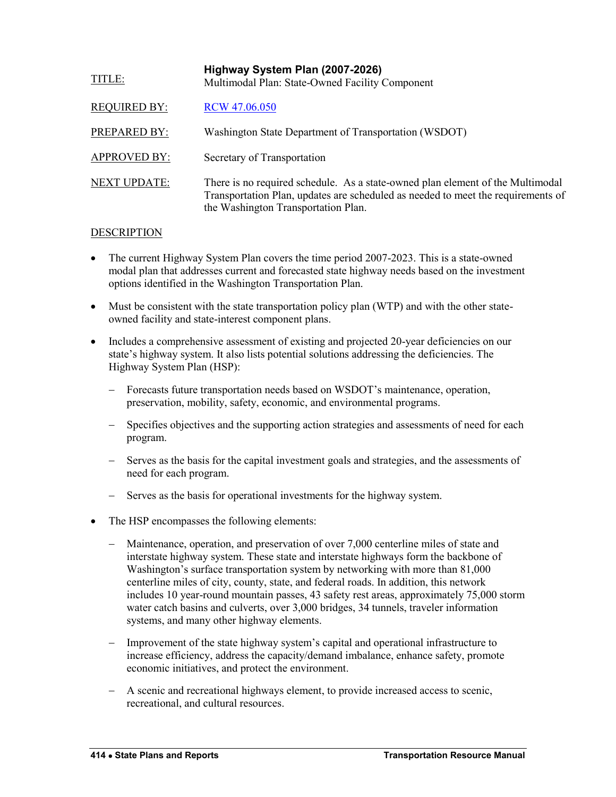<span id="page-7-0"></span>

| <b>TITLE:</b>       | Highway System Plan (2007-2026)<br>Multimodal Plan: State-Owned Facility Component                                                                                                                        |
|---------------------|-----------------------------------------------------------------------------------------------------------------------------------------------------------------------------------------------------------|
| <b>REQUIRED BY:</b> | RCW 47.06.050                                                                                                                                                                                             |
| PREPARED BY:        | Washington State Department of Transportation (WSDOT)                                                                                                                                                     |
| <b>APPROVED BY:</b> | Secretary of Transportation                                                                                                                                                                               |
| <b>NEXT UPDATE:</b> | There is no required schedule. As a state-owned plan element of the Multimodal<br>Transportation Plan, updates are scheduled as needed to meet the requirements of<br>the Washington Transportation Plan. |

- The current Highway System Plan covers the time period 2007-2023. This is a state-owned modal plan that addresses current and forecasted state highway needs based on the investment options identified in the Washington Transportation Plan.
- Must be consistent with the state transportation policy plan (WTP) and with the other stateowned facility and state-interest component plans.
- Includes a comprehensive assessment of existing and projected 20-year deficiencies on our state's highway system. It also lists potential solutions addressing the deficiencies. The Highway System Plan (HSP):
	- Forecasts future transportation needs based on WSDOT's maintenance, operation, preservation, mobility, safety, economic, and environmental programs.
	- Specifies objectives and the supporting action strategies and assessments of need for each program.
	- Serves as the basis for the capital investment goals and strategies, and the assessments of need for each program.
	- Serves as the basis for operational investments for the highway system.
- The HSP encompasses the following elements:
	- Maintenance, operation, and preservation of over 7,000 centerline miles of state and interstate highway system. These state and interstate highways form the backbone of Washington's surface transportation system by networking with more than 81,000 centerline miles of city, county, state, and federal roads. In addition, this network includes 10 year-round mountain passes, 43 safety rest areas, approximately 75,000 storm water catch basins and culverts, over 3,000 bridges, 34 tunnels, traveler information systems, and many other highway elements.
	- Improvement of the state highway system's capital and operational infrastructure to increase efficiency, address the capacity/demand imbalance, enhance safety, promote economic initiatives, and protect the environment.
	- A scenic and recreational highways element, to provide increased access to scenic, recreational, and cultural resources.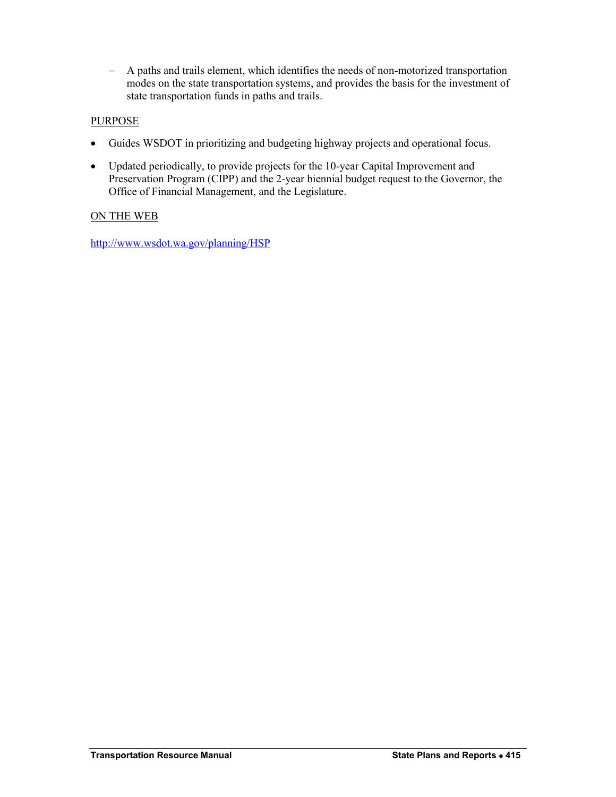A paths and trails element, which identifies the needs of non-motorized transportation modes on the state transportation systems, and provides the basis for the investment of state transportation funds in paths and trails.

## **PURPOSE**

- Guides WSDOT in prioritizing and budgeting highway projects and operational focus.
- Updated periodically, to provide projects for the 10-year Capital Improvement and Preservation Program (CIPP) and the 2-year biennial budget request to the Governor, the Office of Financial Management, and the Legislature.

## ON THE WEB

<http://www.wsdot.wa.gov/planning/HSP>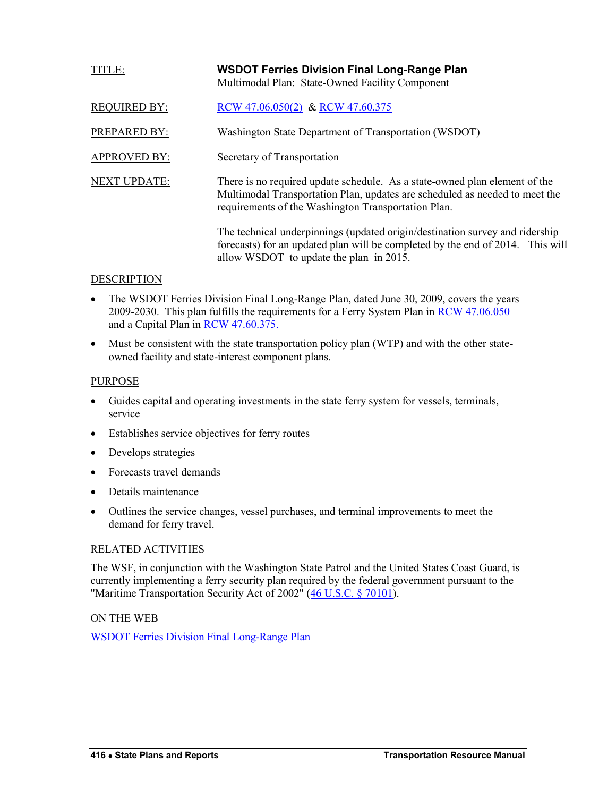<span id="page-9-0"></span>

| TITLE:              | <b>WSDOT Ferries Division Final Long-Range Plan</b><br>Multimodal Plan: State-Owned Facility Component                                                                                                           |
|---------------------|------------------------------------------------------------------------------------------------------------------------------------------------------------------------------------------------------------------|
| <b>REQUIRED BY:</b> | RCW 47.06.050(2) & RCW 47.60.375                                                                                                                                                                                 |
| <b>PREPARED BY:</b> | Washington State Department of Transportation (WSDOT)                                                                                                                                                            |
| <b>APPROVED BY:</b> | Secretary of Transportation                                                                                                                                                                                      |
| <b>NEXT UPDATE:</b> | There is no required update schedule. As a state-owned plan element of the<br>Multimodal Transportation Plan, updates are scheduled as needed to meet the<br>requirements of the Washington Transportation Plan. |
|                     | The technical underpinnings (updated origin/destination survey and ridership<br>forecasts) for an updated plan will be completed by the end of 2014. This will<br>allow WSDOT to update the plan in 2015.        |

- The WSDOT Ferries Division Final Long-Range Plan, dated June 30, 2009, covers the years 2009-2030. This plan fulfills the requirements for a Ferry System Plan in [RCW 47.06.050](http://apps.leg.wa.gov/rcw/default.aspx?cite=47.06.050) and a Capital Plan in [RCW 47.60.375.](http://apps.leg.wa.gov/rcw/default.aspx?cite=47.60.375)
- Must be consistent with the state transportation policy plan (WTP) and with the other stateowned facility and state-interest component plans.

## PURPOSE

- Guides capital and operating investments in the state ferry system for vessels, terminals, service
- Establishes service objectives for ferry routes
- Develops strategies
- Forecasts travel demands
- Details maintenance
- Outlines the service changes, vessel purchases, and terminal improvements to meet the demand for ferry travel.

#### RELATED ACTIVITIES

The WSF, in conjunction with the Washington State Patrol and the United States Coast Guard, is currently implementing a ferry security plan required by the federal government pursuant to the "Maritime Transportation Security Act of 2002" [\(46 U.S.C. § 70101\)](http://www.gpo.gov/fdsys/search/pagedetails.action?browsePath=Title+46%2FSubtitle+Vii%2FChapter+701%2FSec.+70101&granuleId=USCODE-2009-title46-subtitleVII-chap701-sec70101&packageId=USCODE-2009-title46&collapse=true&fromBrowse=true&bread=true).

#### ON THE WEB

[WSDOT Ferries Division Final Long-Range Plan](http://www.wsdot.wa.gov/ferries/planning/)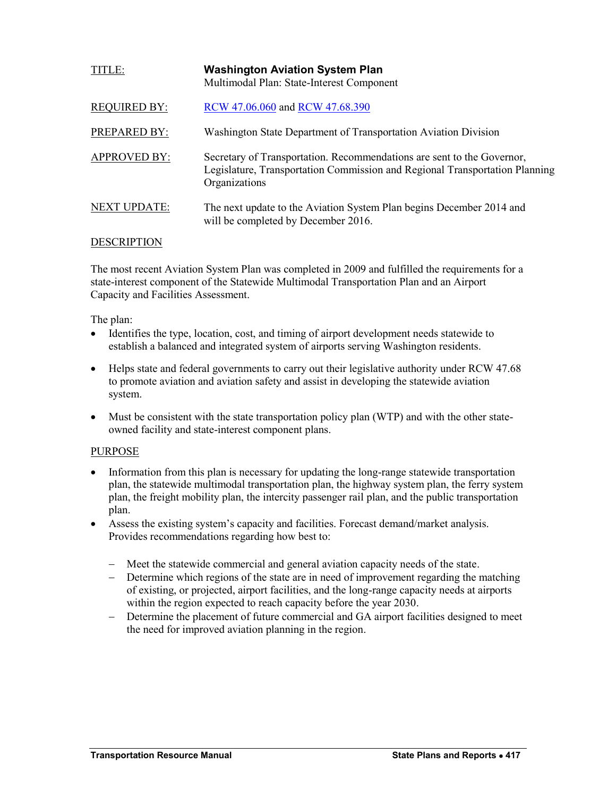<span id="page-10-0"></span>

| <b>TITLE:</b>       | <b>Washington Aviation System Plan</b><br>Multimodal Plan: State-Interest Component                                                                                    |
|---------------------|------------------------------------------------------------------------------------------------------------------------------------------------------------------------|
| <b>REQUIRED BY:</b> | RCW 47.06.060 and RCW 47.68.390                                                                                                                                        |
| PREPARED BY:        | Washington State Department of Transportation Aviation Division                                                                                                        |
| <b>APPROVED BY:</b> | Secretary of Transportation. Recommendations are sent to the Governor,<br>Legislature, Transportation Commission and Regional Transportation Planning<br>Organizations |
| <b>NEXT UPDATE:</b> | The next update to the Aviation System Plan begins December 2014 and<br>will be completed by December 2016.                                                            |

The most recent Aviation System Plan was completed in 2009 and fulfilled the requirements for a state-interest component of the Statewide Multimodal Transportation Plan and an Airport Capacity and Facilities Assessment.

The plan:

- Identifies the type, location, cost, and timing of airport development needs statewide to establish a balanced and integrated system of airports serving Washington residents.
- Helps state and federal governments to carry out their legislative authority under RCW 47.68 to promote aviation and aviation safety and assist in developing the statewide aviation system.
- Must be consistent with the state transportation policy plan (WTP) and with the other stateowned facility and state-interest component plans.

#### PURPOSE

- Information from this plan is necessary for updating the long-range statewide transportation plan, the statewide multimodal transportation plan, the highway system plan, the ferry system plan, the freight mobility plan, the intercity passenger rail plan, and the public transportation plan.
- Assess the existing system's capacity and facilities. Forecast demand/market analysis. Provides recommendations regarding how best to:
	- Meet the statewide commercial and general aviation capacity needs of the state.
	- Determine which regions of the state are in need of improvement regarding the matching of existing, or projected, airport facilities, and the long-range capacity needs at airports within the region expected to reach capacity before the year 2030.
	- Determine the placement of future commercial and GA airport facilities designed to meet the need for improved aviation planning in the region.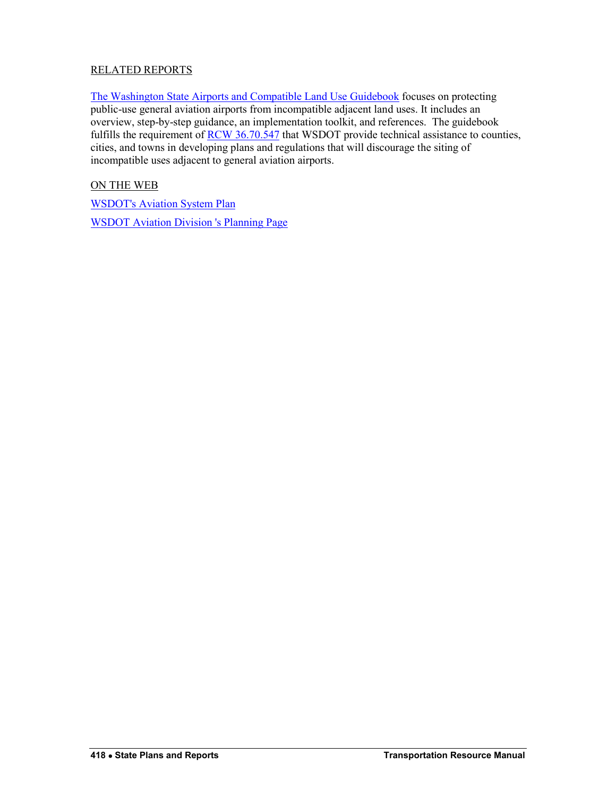## RELATED REPORTS

[The Washington State Airports and Compatible Land Use Guidebook](http://www.wsdot.wa.gov/aviation/LandUseCompatibilityOverview.htm) focuses on protecting public-use general aviation airports from incompatible adjacent land uses. It includes an overview, step-by-step guidance, an implementation toolkit, and references. The guidebook fulfills the requirement of [RCW 36.70.547](http://apps.leg.wa.gov/rcw/default.aspx?cite=36.70.547) that WSDOT provide technical assistance to counties, cities, and towns in developing plans and regulations that will discourage the siting of incompatible uses adjacent to general aviation airports.

ON THE WEB

[WSDOT's Aviation System Plan](http://www.wsdot.wa.gov/aviation/SystemPlan/default.htm)

[WSDOT Aviation Division 's Planning Page](http://www.wsdot.wa.gov/aviation/Planning/)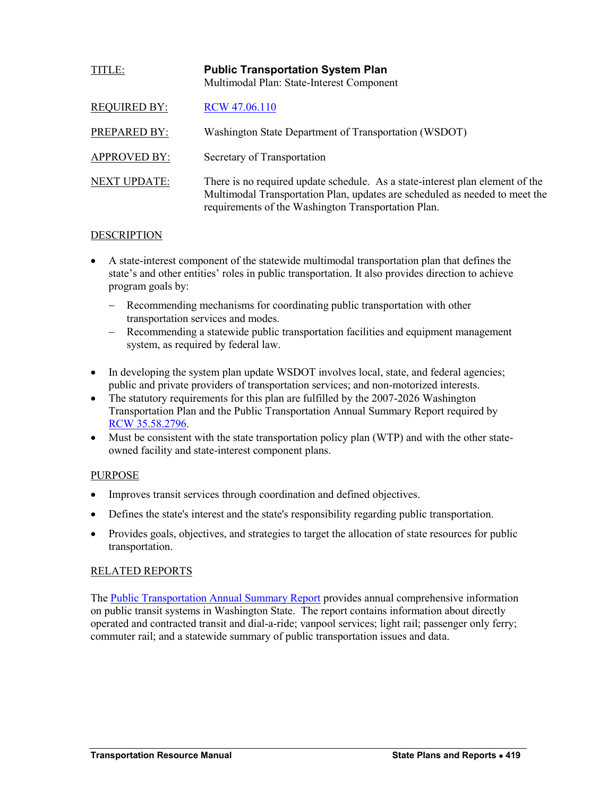<span id="page-12-0"></span>

| TITLE:              | <b>Public Transportation System Plan</b><br>Multimodal Plan: State-Interest Component                                                                                                                               |
|---------------------|---------------------------------------------------------------------------------------------------------------------------------------------------------------------------------------------------------------------|
| <b>REQUIRED BY:</b> | RCW 47.06.110                                                                                                                                                                                                       |
| PREPARED BY:        | Washington State Department of Transportation (WSDOT)                                                                                                                                                               |
| <b>APPROVED BY:</b> | Secretary of Transportation                                                                                                                                                                                         |
| <b>NEXT UPDATE:</b> | There is no required update schedule. As a state-interest plan element of the<br>Multimodal Transportation Plan, updates are scheduled as needed to meet the<br>requirements of the Washington Transportation Plan. |

- A state-interest component of the statewide multimodal transportation plan that defines the state's and other entities' roles in public transportation. It also provides direction to achieve program goals by:
	- Recommending mechanisms for coordinating public transportation with other transportation services and modes.
	- Recommending a statewide public transportation facilities and equipment management system, as required by federal law.
- In developing the system plan update WSDOT involves local, state, and federal agencies; public and private providers of transportation services; and non-motorized interests.
- The statutory requirements for this plan are fulfilled by the 2007-2026 Washington Transportation Plan and the Public Transportation Annual Summary Report required by [RCW 35.58.2796.](http://apps.leg.wa.gov/rcw/default.aspx?cite=35.58.2796)
- Must be consistent with the state transportation policy plan (WTP) and with the other stateowned facility and state-interest component plans.

## PURPOSE

- Improves transit services through coordination and defined objectives.
- Defines the state's interest and the state's responsibility regarding public transportation.
- Provides goals, objectives, and strategies to target the allocation of state resources for public transportation.

## RELATED REPORTS

The [Public Transportation Annual Summary Report](http://www.wsdot.wa.gov/Publications/Manuals/PTSummary.htm) provides annual comprehensive information on public transit systems in Washington State. The report contains information about directly operated and contracted transit and dial-a-ride; vanpool services; light rail; passenger only ferry; commuter rail; and a statewide summary of public transportation issues and data.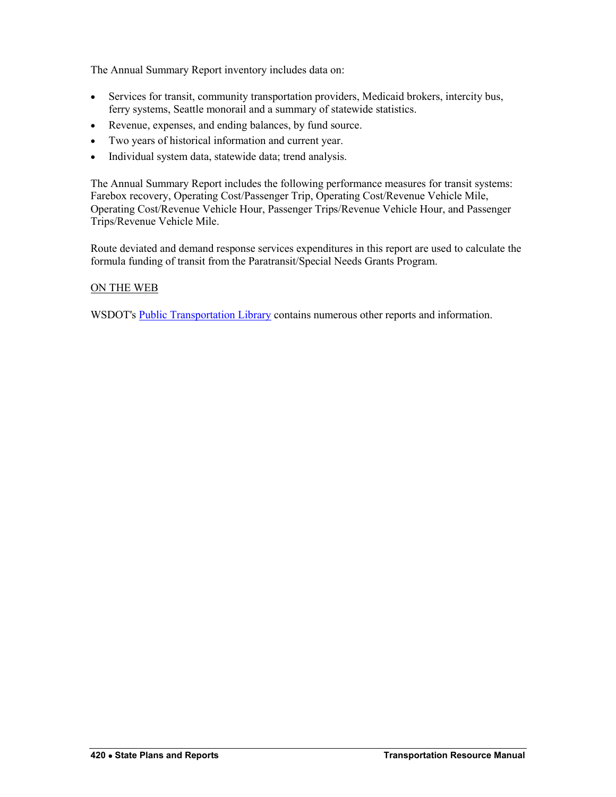The Annual Summary Report inventory includes data on:

- Services for transit, community transportation providers, Medicaid brokers, intercity bus, ferry systems, Seattle monorail and a summary of statewide statistics.
- Revenue, expenses, and ending balances, by fund source.
- Two years of historical information and current year.
- Individual system data, statewide data; trend analysis.

The Annual Summary Report includes the following performance measures for transit systems: Farebox recovery, Operating Cost/Passenger Trip, Operating Cost/Revenue Vehicle Mile, Operating Cost/Revenue Vehicle Hour, Passenger Trips/Revenue Vehicle Hour, and Passenger Trips/Revenue Vehicle Mile.

Route deviated and demand response services expenditures in this report are used to calculate the formula funding of transit from the Paratransit/Special Needs Grants Program.

#### ON THE WEB

WSDOT's [Public Transportation Library](http://www.wsdot.wa.gov/Transit/Library/) contains numerous other reports and information.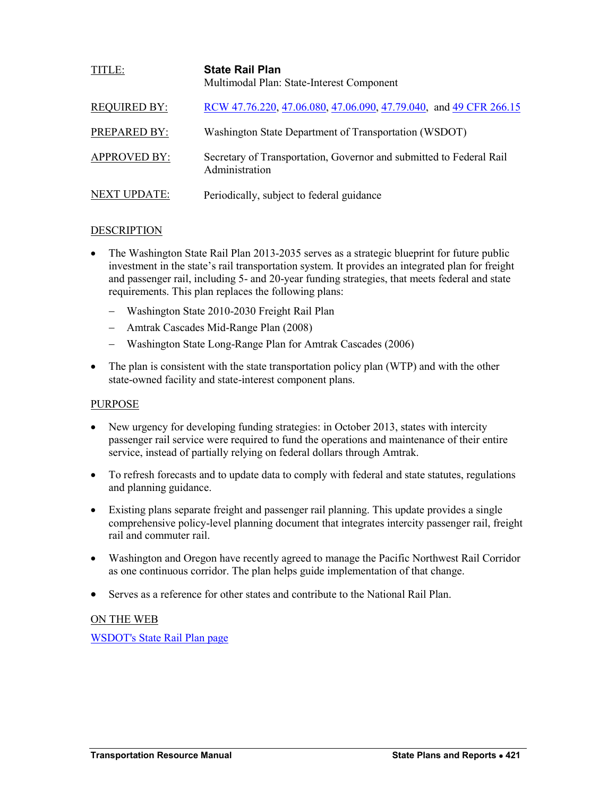<span id="page-14-0"></span>

| <b>TITLE:</b>       | <b>State Rail Plan</b><br>Multimodal Plan: State-Interest Component                   |
|---------------------|---------------------------------------------------------------------------------------|
| <b>REQUIRED BY:</b> | RCW 47.76.220, 47.06.080, 47.06.090, 47.79.040, and 49 CFR 266.15                     |
| PREPARED BY:        | Washington State Department of Transportation (WSDOT)                                 |
| <b>APPROVED BY:</b> | Secretary of Transportation, Governor and submitted to Federal Rail<br>Administration |
| <b>NEXT UPDATE:</b> | Periodically, subject to federal guidance                                             |

- The Washington State Rail Plan 2013-2035 serves as a strategic blueprint for future public investment in the state's rail transportation system. It provides an integrated plan for freight and passenger rail, including 5- and 20-year funding strategies, that meets federal and state requirements. This plan replaces the following plans:
	- Washington State 2010-2030 Freight Rail Plan
	- Amtrak Cascades Mid-Range Plan (2008)
	- Washington State Long-Range Plan for Amtrak Cascades (2006)
- The plan is consistent with the state transportation policy plan (WTP) and with the other state-owned facility and state-interest component plans.

#### PURPOSE

- New urgency for developing funding strategies: in October 2013, states with intercity passenger rail service were required to fund the operations and maintenance of their entire service, instead of partially relying on federal dollars through Amtrak.
- To refresh forecasts and to update data to comply with federal and state statutes, regulations and planning guidance.
- Existing plans separate freight and passenger rail planning. This update provides a single comprehensive policy-level planning document that integrates intercity passenger rail, freight rail and commuter rail.
- Washington and Oregon have recently agreed to manage the Pacific Northwest Rail Corridor as one continuous corridor. The plan helps guide implementation of that change.
- Serves as a reference for other states and contribute to the National Rail Plan.

## ON THE WEB

[WSDOT's State Rail Plan page](http://www.wsdot.wa.gov/Rail/staterailplan.htm)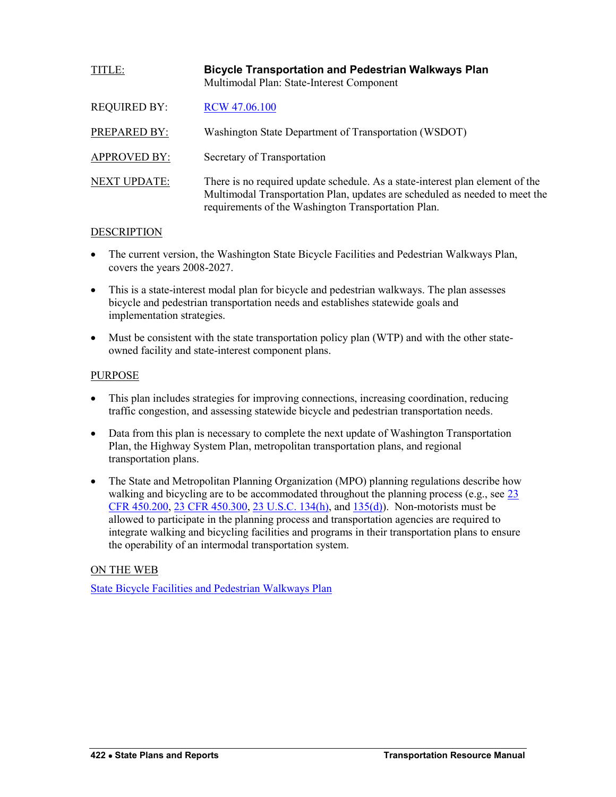<span id="page-15-0"></span>

| TITLE:              | <b>Bicycle Transportation and Pedestrian Walkways Plan</b><br>Multimodal Plan: State-Interest Component                                                                                                             |
|---------------------|---------------------------------------------------------------------------------------------------------------------------------------------------------------------------------------------------------------------|
| <b>REQUIRED BY:</b> | RCW 47.06.100                                                                                                                                                                                                       |
| PREPARED BY:        | Washington State Department of Transportation (WSDOT)                                                                                                                                                               |
| <b>APPROVED BY:</b> | Secretary of Transportation                                                                                                                                                                                         |
| <b>NEXT UPDATE:</b> | There is no required update schedule. As a state-interest plan element of the<br>Multimodal Transportation Plan, updates are scheduled as needed to meet the<br>requirements of the Washington Transportation Plan. |

- The current version, the Washington State Bicycle Facilities and Pedestrian Walkways Plan, covers the years 2008-2027.
- This is a state-interest modal plan for bicycle and pedestrian walkways. The plan assesses bicycle and pedestrian transportation needs and establishes statewide goals and implementation strategies.
- Must be consistent with the state transportation policy plan (WTP) and with the other stateowned facility and state-interest component plans.

## PURPOSE

- This plan includes strategies for improving connections, increasing coordination, reducing traffic congestion, and assessing statewide bicycle and pedestrian transportation needs.
- Data from this plan is necessary to complete the next update of Washington Transportation Plan, the Highway System Plan, metropolitan transportation plans, and regional transportation plans.
- The State and Metropolitan Planning Organization (MPO) planning regulations describe how walking and bicycling are to be accommodated throughout the planning process (e.g., see 23) [CFR 450.200, 23 CFR 450.300,](http://www.ecfr.gov/cgi-bin/text-idx?c=ecfr&sid=7f5985b5d2fe301f3fd5a6f537e6bfb8&rgn=div5&view=text&node=23:1.0.1.5.11&idno=23) [23 U.S.C. 134\(h\),](http://www.fhwa.dot.gov/legsregs/title23.pdf) and [135\(d\)\)](http://www.fhwa.dot.gov/legsregs/title23.pdf). Non-motorists must be allowed to participate in the planning process and transportation agencies are required to integrate walking and bicycling facilities and programs in their transportation plans to ensure the operability of an intermodal transportation system.

## ON THE WEB

[State Bicycle Facilities and Pedestrian Walkways Plan](http://www.wsdot.wa.gov/bike/bike_plan.htm)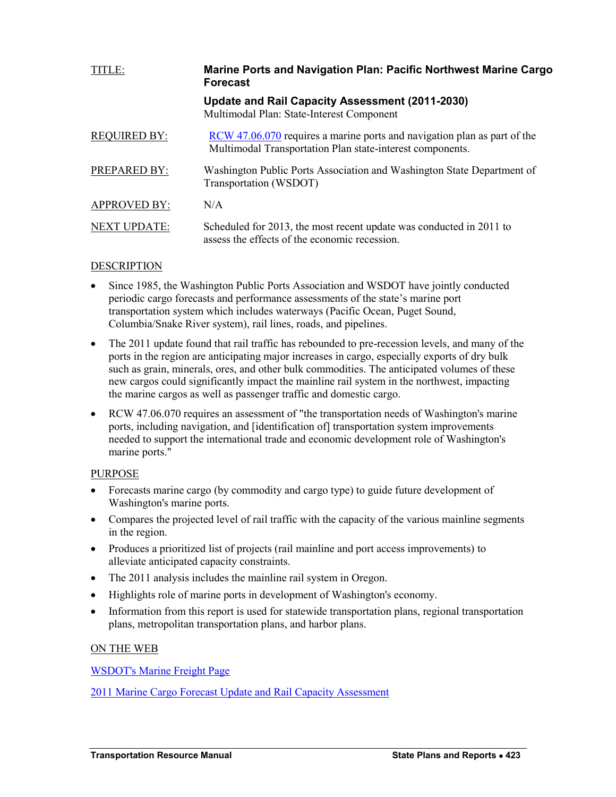<span id="page-16-0"></span>

| TITLE:              | Marine Ports and Navigation Plan: Pacific Northwest Marine Cargo<br><b>Forecast</b>                                                   |
|---------------------|---------------------------------------------------------------------------------------------------------------------------------------|
|                     | Update and Rail Capacity Assessment (2011-2030)<br>Multimodal Plan: State-Interest Component                                          |
| <b>REQUIRED BY:</b> | RCW 47.06.070 requires a marine ports and navigation plan as part of the<br>Multimodal Transportation Plan state-interest components. |
| <b>PREPARED BY:</b> | Washington Public Ports Association and Washington State Department of<br>Transportation (WSDOT)                                      |
| <b>APPROVED BY:</b> | N/A                                                                                                                                   |
| <b>NEXT UPDATE:</b> | Scheduled for 2013, the most recent update was conducted in 2011 to<br>assess the effects of the economic recession.                  |

- Since 1985, the Washington Public Ports Association and WSDOT have jointly conducted periodic cargo forecasts and performance assessments of the state's marine port transportation system which includes waterways (Pacific Ocean, Puget Sound, Columbia/Snake River system), rail lines, roads, and pipelines.
- The 2011 update found that rail traffic has rebounded to pre-recession levels, and many of the ports in the region are anticipating major increases in cargo, especially exports of dry bulk such as grain, minerals, ores, and other bulk commodities. The anticipated volumes of these new cargos could significantly impact the mainline rail system in the northwest, impacting the marine cargos as well as passenger traffic and domestic cargo.
- RCW 47.06.070 requires an assessment of "the transportation needs of Washington's marine ports, including navigation, and [identification of] transportation system improvements needed to support the international trade and economic development role of Washington's marine ports."

#### PURPOSE

- Forecasts marine cargo (by commodity and cargo type) to guide future development of Washington's marine ports.
- Compares the projected level of rail traffic with the capacity of the various mainline segments in the region.
- Produces a prioritized list of projects (rail mainline and port access improvements) to alleviate anticipated capacity constraints.
- The 2011 analysis includes the mainline rail system in Oregon.
- Highlights role of marine ports in development of Washington's economy.
- Information from this report is used for statewide transportation plans, regional transportation plans, metropolitan transportation plans, and harbor plans.

## ON THE WEB

[WSDOT's Marine Freight Page](http://www.wsdot.wa.gov/Freight/Marine.htm)

[2011 Marine Cargo Forecast Update and Rail Capacity Assessment](http://www.wsdot.wa.gov/NR/rdonlyres/E1743FB8-9376-4A4C-8316-14283E42A5F7/0/PNW2011PortRailForecastFinalReport.pdf)